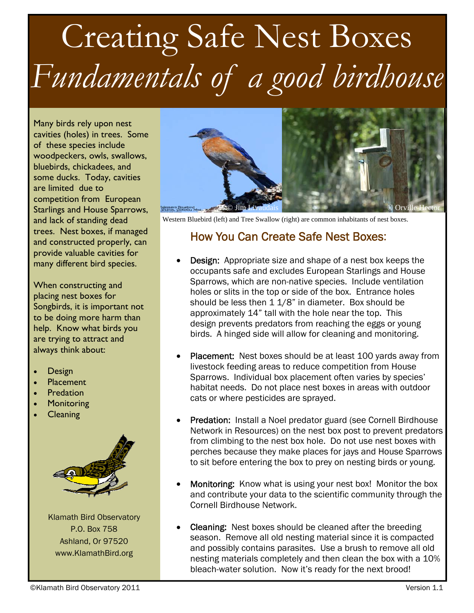## Creating Safe Nest Boxes *Fundamentals of a good birdhouse*

Many birds rely upon nest cavities (holes) in trees. Some of these species include woodpeckers, owls, swallows, bluebirds, chickadees, and some ducks. Today, cavities are limited due to competition from European Starlings and House Sparrows, and lack of standing dead trees. Nest boxes, if managed and constructed properly, can provide valuable cavities for many different bird species.

When constructing and placing nest boxes for Songbirds, it is important not to be doing more harm than help. Know what birds you are trying to attract and always think about:

- Design
- Placement
- Predation
- **Monitoring**
- **Cleaning**



Klamath Bird Observatory P.O. Box 758 Ashland, Or 97520 www.KlamathBird.org



Western Bluebird (left) and Tree Swallow (right) are common inhabitants of nest boxes.

## How You Can Create Safe Nest Boxes:

- Design: Appropriate size and shape of a nest box keeps the occupants safe and excludes European Starlings and House Sparrows, which are non-native species. Include ventilation holes or slits in the top or side of the box. Entrance holes should be less then 1 1/8" in diameter. Box should be approximately 14" tall with the hole near the top. This design prevents predators from reaching the eggs or young birds. A hinged side will allow for cleaning and monitoring.
- Placement: Nest boxes should be at least 100 yards away from livestock feeding areas to reduce competition from House Sparrows. Individual box placement often varies by species' habitat needs. Do not place nest boxes in areas with outdoor cats or where pesticides are sprayed.
- Predation: Install a Noel predator guard (see Cornell Birdhouse Network in Resources) on the nest box post to prevent predators from climbing to the nest box hole. Do not use nest boxes with perches because they make places for jays and House Sparrows to sit before entering the box to prey on nesting birds or young.
- Monitoring: Know what is using your nest box! Monitor the box and contribute your data to the scientific community through the Cornell Birdhouse Network.
- Cleaning: Nest boxes should be cleaned after the breeding season. Remove all old nesting material since it is compacted and possibly contains parasites. Use a brush to remove all old nesting materials completely and then clean the box with a 10% bleach-water solution. Now it's ready for the next brood!